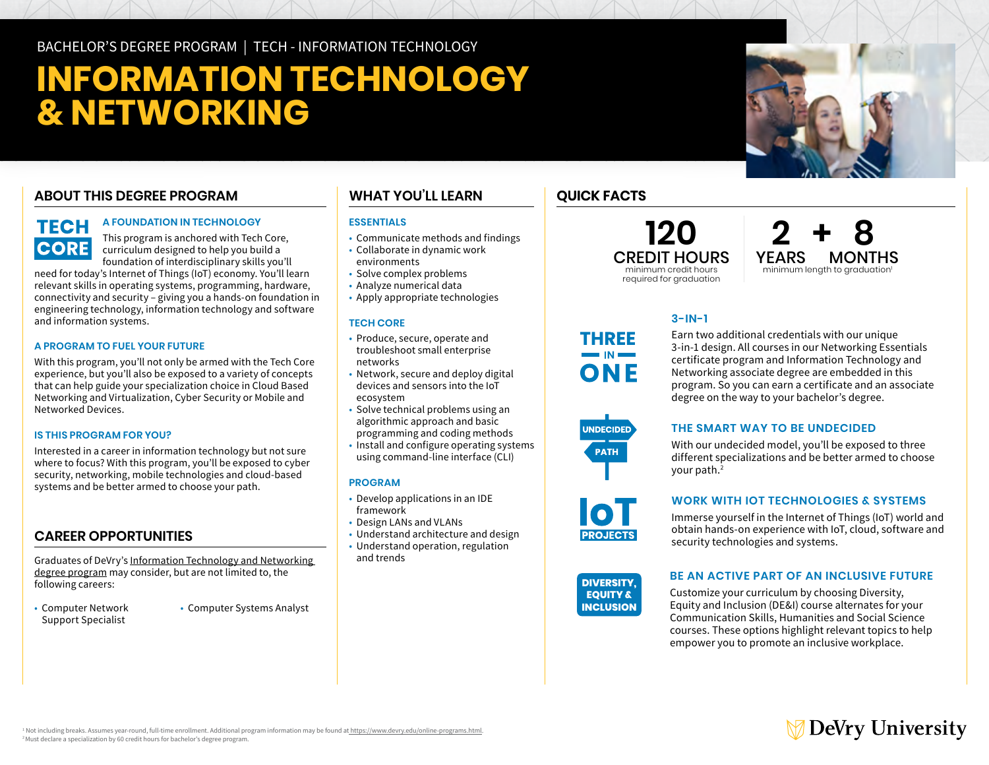BACHELOR'S DEGREE PROGRAM | TECH - INFORMATION TECHNOLOGY

# **INFORMATION TECHNOLOGY & NETWORKING**

## **ABOUT THIS DEGREE PROGRAM**

# **TECH CORE**

#### **A FOUNDATION IN TECHNOLOGY**

This program is anchored with Tech Core, curriculum designed to help you build a foundation of interdisciplinary skills you'll

need for today's Internet of Things (IoT) economy. You'll learn relevant skills in operating systems, programming, hardware, connectivity and security – giving you a hands-on foundation in engineering technology, information technology and software and information systems.

#### **A PROGRAM TO FUEL YOUR FUTURE**

With this program, you'll not only be armed with the Tech Core experience, but you'll also be exposed to a variety of concepts that can help guide your specialization choice in Cloud Based Networking and Virtualization, Cyber Security or Mobile and Networked Devices.

#### **IS THIS PROGRAM FOR YOU?**

Interested in a career in information technology but not sure where to focus? With this program, you'll be exposed to cyber security, networking, mobile technologies and cloud-based systems and be better armed to choose your path.

#### **CAREER OPPORTUNITIES**

Graduates of DeVry's [Information Technology and Networking](https://www.devry.edu/online-programs/bachelors-degrees/information-technology-and-networking.html)  [degree program](https://www.devry.edu/online-programs/bachelors-degrees/information-technology-and-networking.html) may consider, but are not limited to, the following careers:

- Computer Network Support Specialist
- Computer Systems Analyst

### **WHAT YOU'LL LEARN**

#### **ESSENTIALS**

- Communicate methods and findings
- Collaborate in dynamic work environments
- Solve complex problems
- Analyze numerical data
- Apply appropriate technologies

#### **TECH CORE**

- Produce, secure, operate and troubleshoot small enterprise networks
- Network, secure and deploy digital devices and sensors into the IoT ecosystem
- Solve technical problems using an algorithmic approach and basic
- programming and coding methods
- Install and configure operating systems using command-line interface (CLI)

#### **PROGRAM**

- Develop applications in an IDE framework
- Design LANs and VLANs
- Understand architecture and design
- Understand operation, regulation and trends

# **QUICK FACTS**

**120** CREDIT HOURS minimum credit hours required for graduation

**2 + 8** YEARS MONTHS minimum length to graduation<sup>1</sup>

#### **3-IN-1**

Earn two additional credentials with our unique 3-in-1 design. All courses in our Networking Essentials certificate program and Information Technology and Networking associate degree are embedded in this program. So you can earn a certificate and an associate degree on the way to your bachelor's degree.



**THREE** 

ONF

#### **THE SMART WAY TO BE UNDECIDED**

With our undecided model, you'll be exposed to three different specializations and be better armed to choose your path.2

**WORK WITH IOT TECHNOLOGIES & SYSTEMS** 

**DIVERSITY,** Immerse yourself in the Internet of Things (IoT) world and **EQUITY &** obtain hands-on experience with IoT, cloud, software and **INCLUSION** security technologies and systems.

**DIVERSITY. EQUITY & INCLUSION** 

**PROJECTS** 

#### **BE AN ACTIVE PART OF AN INCLUSIVE FUTURE**

Customize your curriculum by choosing Diversity, Equity and Inclusion (DE&I) course alternates for your Communication Skills, Humanities and Social Science courses. These options highlight relevant topics to help empower you to promote an inclusive workplace.